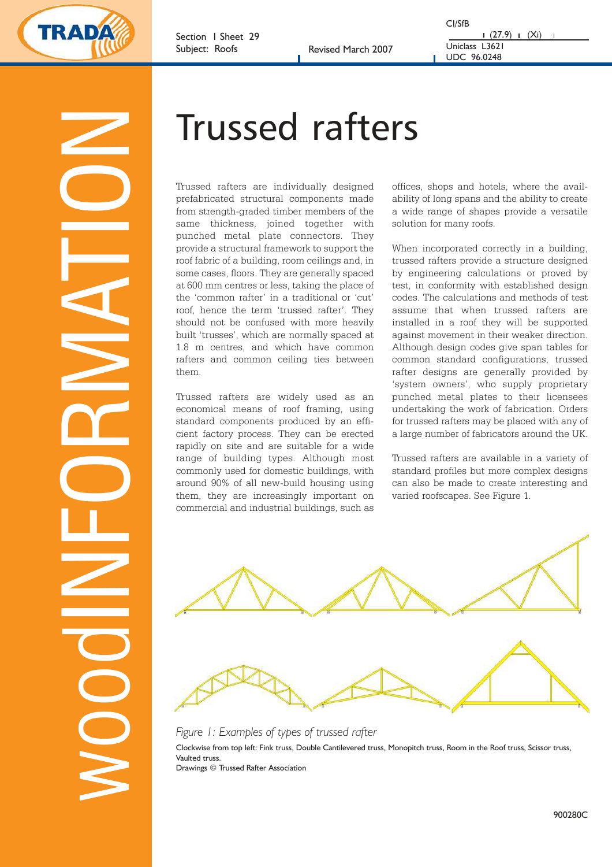

Section 1 Sheet 29 Subject: Roofs Revised March 2007

CI/SfB  $(27.9)$  (Xi) Uniclass L3621 UDC 96.0248

WOOOHNEORMATION

# Trussed rafters

Trussed rafters are individually designed prefabricated structural components made from strength-graded timber members of the same thickness, joined together with punched metal plate connectors. They provide a structural framework to support the roof fabric of a building, room ceilings and, in some cases, floors. They are generally spaced at 600 mm centres or less, taking the place of the 'common rafter' in a traditional or 'cut' roof, hence the term 'trussed rafter'. They should not be confused with more heavily built 'trusses', which are normally spaced at 1.8 m centres, and which have common rafters and common ceiling ties between them.

Trussed rafters are widely used as an economical means of roof framing, using standard components produced by an efficient factory process. They can be erected rapidly on site and are suitable for a wide range of building types. Although most commonly used for domestic buildings, with around 90% of all new-build housing using them, they are increasingly important on commercial and industrial buildings, such as

offices, shops and hotels, where the availability of long spans and the ability to create a wide range of shapes provide a versatile solution for many roofs.

When incorporated correctly in a building, trussed rafters provide a structure designed by engineering calculations or proved by test, in conformity with established design codes. The calculations and methods of test assume that when trussed rafters are installed in a roof they will be supported against movement in their weaker direction. Although design codes give span tables for common standard configurations, trussed rafter designs are generally provided by 'system owners', who supply proprietary punched metal plates to their licensees undertaking the work of fabrication. Orders for trussed rafters may be placed with any of a large number of fabricators around the UK.

Trussed rafters are available in a variety of standard profiles but more complex designs can also be made to create interesting and varied roofscapes. See Figure 1.



# *Figure 1: Examples of types of trussed rafter*

Clockwise from top left: Fink truss, Double Cantilevered truss, Monopitch truss, Room in the Roof truss, Scissor truss, Vaulted truss. Drawings © Trussed Rafter Association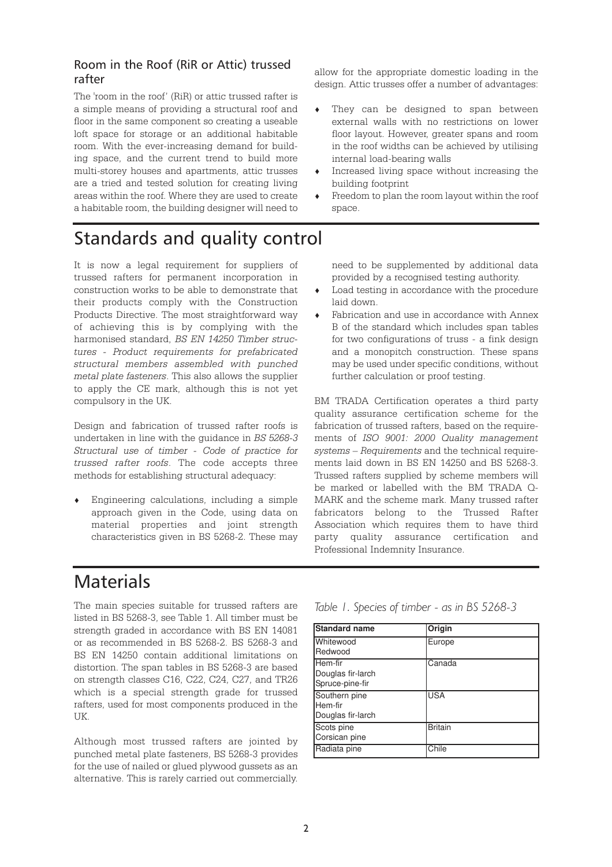# Room in the Roof (RiR or Attic) trussed rafter

The 'room in the roof' (RiR) or attic trussed rafter is a simple means of providing a structural roof and floor in the same component so creating a useable loft space for storage or an additional habitable room. With the ever-increasing demand for building space, and the current trend to build more multi-storey houses and apartments, attic trusses are a tried and tested solution for creating living areas within the roof. Where they are used to create a habitable room, the building designer will need to

allow for the appropriate domestic loading in the design. Attic trusses offer a number of advantages:

- $\bullet$  They can be designed to span between external walls with no restrictions on lower floor layout. However, greater spans and room in the roof widths can be achieved by utilising internal load-bearing walls
- $\bullet$  Increased living space without increasing the building footprint
- Freedom to plan the room layout within the roof space.

# Standards and quality control

It is now a legal requirement for suppliers of trussed rafters for permanent incorporation in construction works to be able to demonstrate that their products comply with the Construction Products Directive. The most straightforward way of achieving this is by complying with the harmonised standard, *BS EN 14250 Timber structures - Product requirements for prefabricated structural members assembled with punched metal plate fasteners*. This also allows the supplier to apply the CE mark, although this is not yet compulsory in the UK.

Design and fabrication of trussed rafter roofs is undertaken in line with the guidance in *BS 5268-3 Structural use of timber - Code of practice for trussed rafter roofs*. The code accepts three methods for establishing structural adequacy:

 $\bullet$  Engineering calculations, including a simple approach given in the Code, using data on material properties and joint strength characteristics given in BS 5268-2. These may

#### need to be supplemented by additional data provided by a recognised testing authority.

- $\bullet$  Load testing in accordance with the procedure laid down.
- Fabrication and use in accordance with Annex B of the standard which includes span tables for two configurations of truss - a fink design and a monopitch construction. These spans may be used under specific conditions, without further calculation or proof testing.

BM TRADA Certification operates a third party quality assurance certification scheme for the fabrication of trussed rafters, based on the requirements of *ISO 9001: 2000 Quality management systems – Requirements* and the technical requirements laid down in BS EN 14250 and BS 5268-3. Trussed rafters supplied by scheme members will be marked or labelled with the BM TRADA Q-MARK and the scheme mark. Many trussed rafter fabricators belong to the Trussed Rafter Association which requires them to have third party quality assurance certification and Professional Indemnity Insurance.

# **Materials**

The main species suitable for trussed rafters are listed in BS 5268-3, see Table 1. All timber must be strength graded in accordance with BS EN 14081 or as recommended in BS 5268-2. BS 5268-3 and BS EN 14250 contain additional limitations on distortion. The span tables in BS 5268-3 are based on strength classes C16, C22, C24, C27, and TR26 which is a special strength grade for trussed rafters, used for most components produced in the UK.

Although most trussed rafters are jointed by punched metal plate fasteners, BS 5268-3 provides for the use of nailed or glued plywood gussets as an alternative. This is rarely carried out commercially.

| Standard name                                          | Origin         |
|--------------------------------------------------------|----------------|
| <b>I</b> Whitewood<br>Redwood                          | Europe         |
| Hem-fir<br>Douglas fir-larch<br>Spruce-pine-fir        | Canada         |
| Southern pine<br><b>I</b> Hem-fir<br>Douglas fir-larch | <b>USA</b>     |
| Scots pine<br>Corsican pine                            | <b>Britain</b> |
| Radiata pine                                           | Chile          |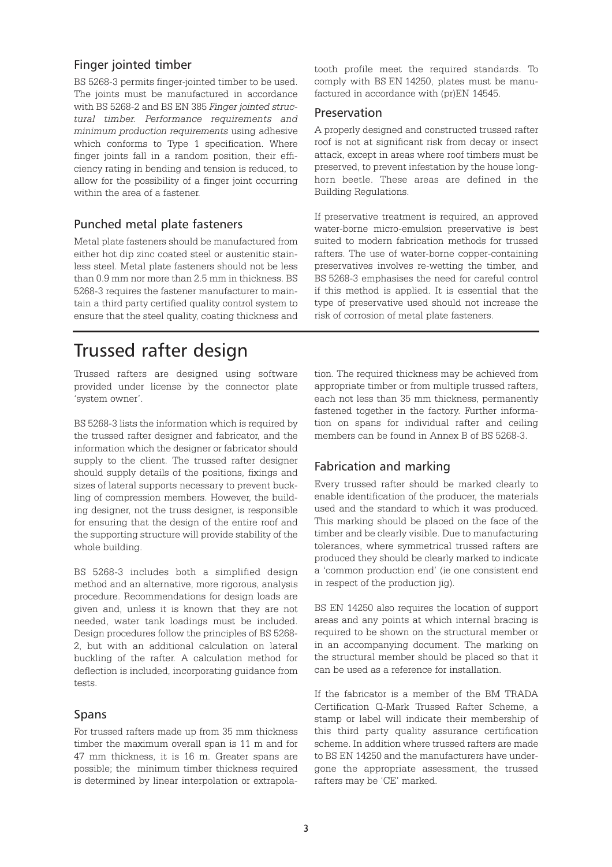### Finger jointed timber

BS 5268-3 permits finger-jointed timber to be used. The joints must be manufactured in accordance with BS 5268-2 and BS EN 385 *Finger jointed structural timber. Performance requirements and minimum production requirements* using adhesive which conforms to Type 1 specification. Where finger joints fall in a random position, their efficiency rating in bending and tension is reduced, to allow for the possibility of a finger joint occurring within the area of a fastener.

# Punched metal plate fasteners

Metal plate fasteners should be manufactured from either hot dip zinc coated steel or austenitic stainless steel. Metal plate fasteners should not be less than 0.9 mm nor more than 2.5 mm in thickness. BS 5268-3 requires the fastener manufacturer to maintain a third party certified quality control system to ensure that the steel quality, coating thickness and

# Trussed rafter design

Trussed rafters are designed using software provided under license by the connector plate 'system owner'.

BS 5268-3 lists the information which is required by the trussed rafter designer and fabricator, and the information which the designer or fabricator should supply to the client. The trussed rafter designer should supply details of the positions, fixings and sizes of lateral supports necessary to prevent buckling of compression members. However, the building designer, not the truss designer, is responsible for ensuring that the design of the entire roof and the supporting structure will provide stability of the whole building.

BS 5268-3 includes both a simplified design method and an alternative, more rigorous, analysis procedure. Recommendations for design loads are given and, unless it is known that they are not needed, water tank loadings must be included. Design procedures follow the principles of BS 5268- 2, but with an additional calculation on lateral buckling of the rafter. A calculation method for deflection is included, incorporating guidance from tests.

### Spans

For trussed rafters made up from 35 mm thickness timber the maximum overall span is 11 m and for 47 mm thickness, it is 16 m. Greater spans are possible; the minimum timber thickness required is determined by linear interpolation or extrapolatooth profile meet the required standards. To comply with BS EN 14250, plates must be manufactured in accordance with (pr)EN 14545.

#### Preservation

A properly designed and constructed trussed rafter roof is not at significant risk from decay or insect attack, except in areas where roof timbers must be preserved, to prevent infestation by the house longhorn beetle. These areas are defined in the Building Regulations.

If preservative treatment is required, an approved water-borne micro-emulsion preservative is best suited to modern fabrication methods for trussed rafters. The use of water-borne copper-containing preservatives involves re-wetting the timber, and BS 5268-3 emphasises the need for careful control if this method is applied. It is essential that the type of preservative used should not increase the risk of corrosion of metal plate fasteners.

tion. The required thickness may be achieved from appropriate timber or from multiple trussed rafters, each not less than 35 mm thickness, permanently fastened together in the factory. Further information on spans for individual rafter and ceiling members can be found in Annex B of BS 5268-3.

### Fabrication and marking

Every trussed rafter should be marked clearly to enable identification of the producer, the materials used and the standard to which it was produced. This marking should be placed on the face of the timber and be clearly visible. Due to manufacturing tolerances, where symmetrical trussed rafters are produced they should be clearly marked to indicate a 'common production end' (ie one consistent end in respect of the production jig).

BS EN 14250 also requires the location of support areas and any points at which internal bracing is required to be shown on the structural member or in an accompanying document. The marking on the structural member should be placed so that it can be used as a reference for installation.

If the fabricator is a member of the BM TRADA Certification Q-Mark Trussed Rafter Scheme, a stamp or label will indicate their membership of this third party quality assurance certification scheme. In addition where trussed rafters are made to BS EN 14250 and the manufacturers have undergone the appropriate assessment, the trussed rafters may be 'CE' marked.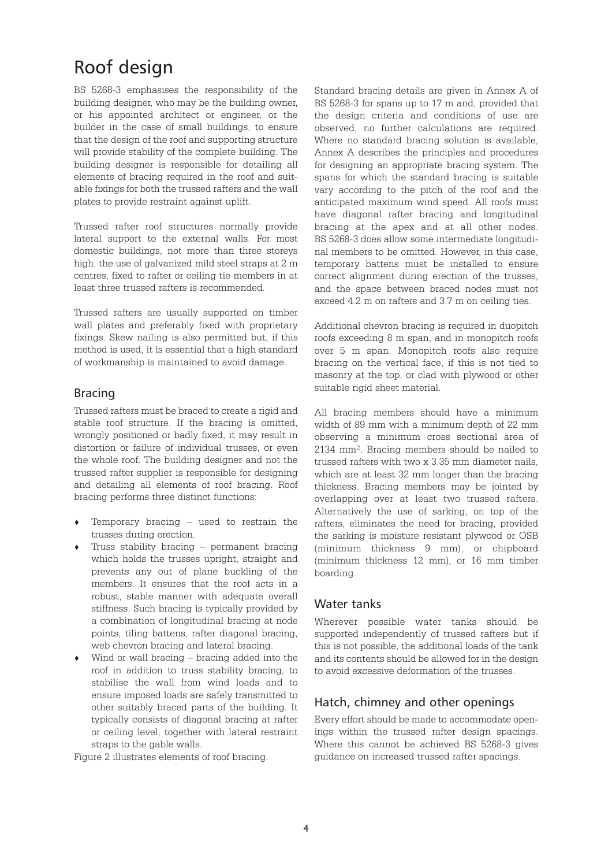# Roof design

BS 5268-3 emphasises the responsibility of the building designer, who may be the building owner, or his appointed architect or engineer, or the builder in the case of small buildings, to ensure that the design of the roof and supporting structure will provide stability of the complete building. The building designer is responsible for detailing all elements of bracing required in the roof and suitable fixings for both the trussed rafters and the wall plates to provide restraint against uplift.

Trussed rafter roof structures normally provide lateral support to the external walls. For most domestic buildings, not more than three storeys high, the use of galvanized mild steel straps at 2 m centres, fixed to rafter or ceiling tie members in at least three trussed rafters is recommended.

Trussed rafters are usually supported on timber wall plates and preferably fixed with proprietary fixings. Skew nailing is also permitted but, if this method is used, it is essential that a high standard of workmanship is maintained to avoid damage.

#### Bracing

Trussed rafters must be braced to create a rigid and stable roof structure. If the bracing is omitted, wrongly positioned or badly fixed, it may result in distortion or failure of individual trusses, or even the whole roof. The building designer and not the trussed rafter supplier is responsible for designing and detailing all elements of roof bracing. Roof bracing performs three distinct functions:

- Temporary bracing  $-$  used to restrain the trusses during erection.
- Truss stability bracing permanent bracing which holds the trusses upright, straight and prevents any out of plane buckling of the members. It ensures that the roof acts in a robust, stable manner with adequate overall stiffness. Such bracing is typically provided by a combination of longitudinal bracing at node points, tiling battens, rafter diagonal bracing, web chevron bracing and lateral bracing.
- $\bullet$  Wind or wall bracing bracing added into the roof in addition to truss stability bracing, to stabilise the wall from wind loads and to ensure imposed loads are safely transmitted to other suitably braced parts of the building. It typically consists of diagonal bracing at rafter or ceiling level, together with lateral restraint straps to the gable walls.

Figure 2 illustrates elements of roof bracing.

Standard bracing details are given in Annex A of BS 5268-3 for spans up to 17 m and, provided that the design criteria and conditions of use are observed, no further calculations are required. Where no standard bracing solution is available, Annex A describes the principles and procedures for designing an appropriate bracing system. The spans for which the standard bracing is suitable vary according to the pitch of the roof and the anticipated maximum wind speed. All roofs must have diagonal rafter bracing and longitudinal bracing at the apex and at all other nodes. BS 5268-3 does allow some intermediate longitudinal members to be omitted. However, in this case, temporary battens must be installed to ensure correct alignment during erection of the trusses, and the space between braced nodes must not exceed 4.2 m on rafters and 3.7 m on ceiling ties.

Additional chevron bracing is required in duopitch roofs exceeding 8 m span, and in monopitch roofs over 5 m span. Monopitch roofs also require bracing on the vertical face, if this is not tied to masonry at the top, or clad with plywood or other suitable rigid sheet material.

All bracing members should have a minimum width of 89 mm with a minimum depth of 22 mm observing a minimum cross sectional area of 2134 mm2. Bracing members should be nailed to trussed rafters with two x 3.35 mm diameter nails, which are at least 32 mm longer than the bracing thickness. Bracing members may be jointed by overlapping over at least two trussed rafters. Alternatively the use of sarking, on top of the rafters, eliminates the need for bracing, provided the sarking is moisture resistant plywood or OSB (minimum thickness 9 mm), or chipboard (minimum thickness 12 mm), or 16 mm timber boarding.

### Water tanks

Wherever possible water tanks should be supported independently of trussed rafters but if this is not possible, the additional loads of the tank and its contents should be allowed for in the design to avoid excessive deformation of the trusses.

# Hatch, chimney and other openings

Every effort should be made to accommodate openings within the trussed rafter design spacings. Where this cannot be achieved BS 5268-3 gives guidance on increased trussed rafter spacings.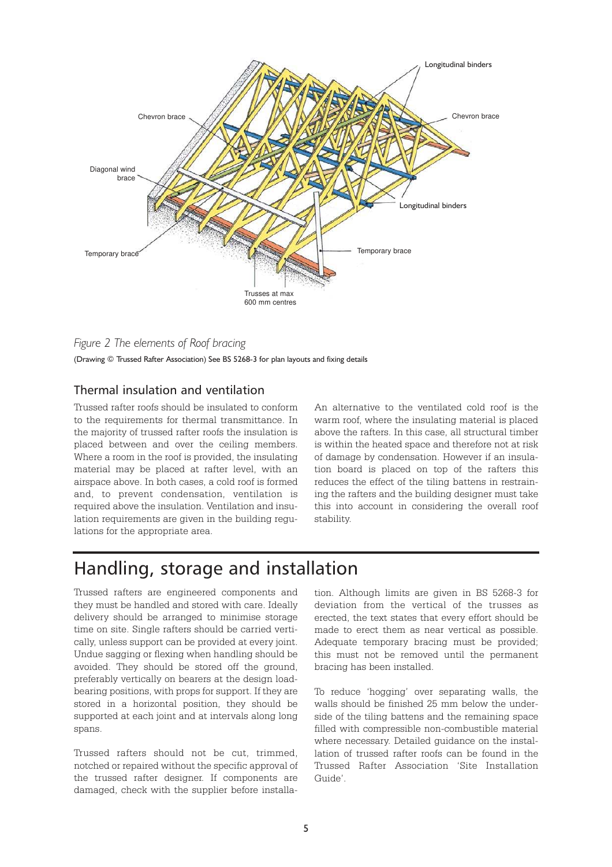

*Figure 2 The elements of Roof bracing*  (Drawing © Trussed Rafter Association) See BS 5268-3 for plan layouts and fixing details

### Thermal insulation and ventilation

Trussed rafter roofs should be insulated to conform to the requirements for thermal transmittance. In the majority of trussed rafter roofs the insulation is placed between and over the ceiling members. Where a room in the roof is provided, the insulating material may be placed at rafter level, with an airspace above. In both cases, a cold roof is formed and, to prevent condensation, ventilation is required above the insulation. Ventilation and insulation requirements are given in the building regulations for the appropriate area.

An alternative to the ventilated cold roof is the warm roof, where the insulating material is placed above the rafters. In this case, all structural timber is within the heated space and therefore not at risk of damage by condensation. However if an insulation board is placed on top of the rafters this reduces the effect of the tiling battens in restraining the rafters and the building designer must take this into account in considering the overall roof stability.

# Handling, storage and installation

Trussed rafters are engineered components and they must be handled and stored with care. Ideally delivery should be arranged to minimise storage time on site. Single rafters should be carried vertically, unless support can be provided at every joint. Undue sagging or flexing when handling should be avoided. They should be stored off the ground, preferably vertically on bearers at the design loadbearing positions, with props for support. If they are stored in a horizontal position, they should be supported at each joint and at intervals along long spans.

Trussed rafters should not be cut, trimmed, notched or repaired without the specific approval of the trussed rafter designer. If components are damaged, check with the supplier before installation. Although limits are given in BS 5268-3 for deviation from the vertical of the trusses as erected, the text states that every effort should be made to erect them as near vertical as possible. Adequate temporary bracing must be provided; this must not be removed until the permanent bracing has been installed.

To reduce 'hogging' over separating walls, the walls should be finished 25 mm below the underside of the tiling battens and the remaining space filled with compressible non-combustible material where necessary. Detailed guidance on the installation of trussed rafter roofs can be found in the Trussed Rafter Association 'Site Installation Guide'.